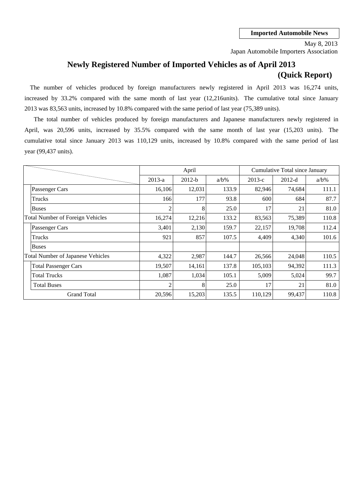Japan Automobile Importers Association May 8, 2013

# **Newly Registered Number of Imported Vehicles as of April 2013 (Quick Report)**

The number of vehicles produced by foreign manufacturers newly registered in April 2013 was 16,274 units, increased by 33.2% compared with the same month of last year (12,216units). The cumulative total since January 2013 was 83,563 units, increased by 10.8% compared with the same period of last year (75,389 units).

cumulative total since January 2013 was 110,129 units, increased by 10.8% compared with the same period of last April, was 20,596 units, increased by 35.5% compared with the same month of last year (15,203 units). The year (99,437 units). The total number of vehicles produced by foreign manufacturers and Japanese manufacturers newly registered in

|                                          |                | April    |         |          | Cumulative Total since January |         |
|------------------------------------------|----------------|----------|---------|----------|--------------------------------|---------|
|                                          | $2013-a$       | $2012-b$ | $a/b\%$ | $2013-c$ | $2012-d$                       | $a/b\%$ |
| Passenger Cars                           | 16,106         | 12,031   | 133.9   | 82,946   | 74.684                         | 111.1   |
| Trucks                                   | 166            | 177      | 93.8    | 600      | 684                            | 87.7    |
| <b>Buses</b>                             | 2              | 8        | 25.0    | 17       | 21                             | 81.0    |
| <b>Total Number of Foreign Vehicles</b>  | 16,274         | 12,216   | 133.2   | 83,563   | 75,389                         | 110.8   |
| Passenger Cars                           | 3,401          | 2,130    | 159.7   | 22,157   | 19,708                         | 112.4   |
| Trucks                                   | 921            | 857      | 107.5   | 4,409    | 4,340                          | 101.6   |
| Buses                                    |                |          |         |          |                                |         |
| <b>Total Number of Japanese Vehicles</b> | 4,322          | 2,987    | 144.7   | 26,566   | 24,048                         | 110.5   |
| <b>Total Passenger Cars</b>              | 19,507         | 14,161   | 137.8   | 105,103  | 94,392                         | 111.3   |
| <b>Total Trucks</b>                      | 1,087          | 1,034    | 105.1   | 5,009    | 5,024                          | 99.7    |
| <b>Total Buses</b>                       | $\overline{2}$ | 8        | 25.0    | 17       | 21                             | 81.0    |
| <b>Grand Total</b>                       | 20,596         | 15,203   | 135.5   | 110,129  | 99,437                         | 110.8   |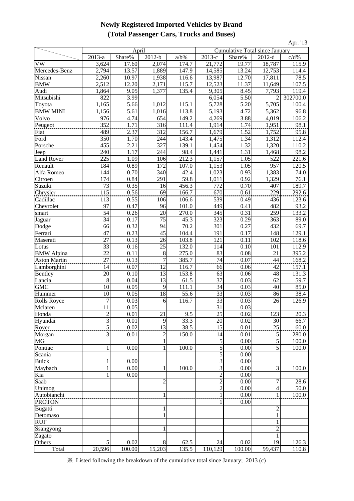### **Newly Registered Imported Vehicles by Brand (Total Passenger Cars, Trucks and Buses)**

| Apr. '13              |                         |                     |                           |                       |                    |                                |                 |                              |
|-----------------------|-------------------------|---------------------|---------------------------|-----------------------|--------------------|--------------------------------|-----------------|------------------------------|
|                       |                         | April               |                           |                       |                    | Cumulative Total since January |                 |                              |
|                       | $2013-a$                | Share%              | $2012-b$                  | $a/b\%$               | $2013-c$           | Share%                         | $2012-d$        | c/d%                         |
| VW                    | 3,624                   | 17.60               | 2,074                     | 174.7                 | 21,772             | 19.77                          | 18,787          | 115.9                        |
| Mercedes-Benz         | 2,794                   | 13.57               | 1,889                     | 147.9                 | 14,585             | 13.24                          | 12,753          | 114.4                        |
| Nissan                | 2,260                   | 10.97               | 1,938                     | 116.6                 | 13,987             | 12.70                          | 17,811          | 78.5                         |
| <b>BMW</b>            | 2,512                   | 12.20               | 2,171                     | 115.7                 | 12,523             | 11.37                          | 11,649          | 107.5                        |
| Audi                  | 1,864                   | 9.05                | 1,377                     | 135.4                 | 9,305              | 8.45                           | 7,793           | 119.4                        |
| Mitsubishi            | 822                     | 3.99                |                           |                       | 6,054              | 5.50                           | $\overline{c}$  | 302700.0                     |
| Toyota                | 1,165                   | 5.66                | 1,012                     | 115.1                 | 5,728              | 5.20                           | 5,705           | 100.4                        |
| <b>BMW MINI</b>       | 1,156                   | 5.61                | 1,016                     | 113.8                 | 5,193              | 4.72                           | 5,362           | 96.8                         |
| Volvo                 | 976                     | 4.74                | 654                       | 149.2                 | 4,269              | 3.88                           | 4,019           | 106.2                        |
| Peugeot               | $\frac{352}{489}$       | $\frac{1.71}{2.37}$ | $\frac{316}{2}$<br>312    | $\frac{111.4}{156.7}$ | 1,914<br>1,679     | 1.74<br>1.52                   | 1,951<br>1,752  | 98.1<br>95.8                 |
| Fiat<br>Ford          | 350                     | 1.70                | 244                       | 143.4                 | 1,475              | 1.34                           | 1,312           | 112.4                        |
| Porsche               | $\overline{455}$        | 2.21                | 327                       | 139.1                 | 1,454              | 1.32                           | 1,320           | 110.2                        |
| Jeep                  | 240                     | 1.17                | 244                       | 98.4                  | 1,441              | 1.31                           | 1,468           | 98.2                         |
| <b>Land Rover</b>     | 225                     | 1.09                | 106                       | 212.3                 | 1,157              | 1.05                           | 522             | 221.6                        |
| Renault               | 184                     | 0.89                | 172                       | 107.0                 | $\overline{1,153}$ | 1.05                           | 957             | 120.5                        |
| Alfa Romeo            | 144                     | 0.70                | 340                       | 42.4                  | 1,023              | 0.93                           | 1,383           | 74.0                         |
| Citroen               | 174                     | 0.84                | 291                       | 59.8                  | 1,011              | 0.92                           | 1,329           | 76.1                         |
| Suzuki                | 73                      | 0.35                | 16                        | 456.3                 | 772                | 0.70                           | 407             | 189.7                        |
| Chrysler              | 115                     | 0.56                | 69                        | 166.7                 | 670                | 0.61                           | 229             | 292.6                        |
| Cadillac              | 113                     | 0.55                | 106                       | 106.6                 | 539                | 0.49                           | 436             | 123.6                        |
| Chevrolet             | 97                      | 0.47                | 96                        | 101.0                 | 449                | 0.41                           | 482             | 93.2                         |
| smart                 | 54                      | 0.26                | 20                        | 270.0                 | 345                | 0.31                           | 259             | 133.2                        |
| Jaguar                | 34                      | 0.17                | 75                        | 45.3                  | 323                | 0.29                           | 363             | 89.0                         |
| Dodge                 | 66                      | 0.32                | 94                        | 70.2                  | 301                | 0.27                           | 432             | 69.7                         |
| Ferrari               | 47                      | 0.23                | 45                        | 104.4                 | 191                | 0.17                           | 148             | 129.1                        |
| Maserati              | 27                      | 0.13                | 26                        | 103.8                 | 121                | 0.11                           | 102             | 118.6                        |
| Lotus                 | 33                      | 0.16                | $\overline{25}$           | 132.0                 | 114                | 0.10                           | 101             | 112.9                        |
| <b>BMW</b> Alpina     | 22                      | 0.11                | 8                         | 275.0                 | 83                 | 0.08                           | 21              | 395.2                        |
| <b>Aston Martin</b>   | $\frac{27}{1}$          | 0.13                | $\overline{\phantom{a}7}$ | 385.7                 | $\frac{74}{ }$     | 0.07                           | $\frac{44}{2}$  | 168.2<br>$\frac{150}{157.1}$ |
| Lamborghini           | 14                      | 0.07                | 12                        | 116.7                 | 66                 | 0.06                           | 42              |                              |
| <b>Bentley</b>        | 20                      | 0.10                | 13                        | 153.8                 | 63                 | 0.06                           | 48              | 131.3                        |
| Lancia<br><b>GMC</b>  | 8                       | 0.04                | 13                        | 61.5                  | 37                 | 0.03                           | 62              | 59.7                         |
|                       | 10<br>10                | 0.05<br>0.05        | 9<br>18                   | 111.1<br>55.6         | 34<br>33           | 0.03<br>0.03                   | 40<br>86        | 85.0<br>38.4                 |
| Hummer<br>Rolls Royce | 7                       | 0.03                | 6                         | 116.7                 | $\overline{33}$    | 0.03                           | 26              | 126.9                        |
| Mclaren               | 11                      | 0.05                |                           |                       | 31                 | 0.03                           |                 |                              |
| Honda                 | $\overline{2}$          | 0.01                | 21                        | 9.5                   | 25                 | 0.02                           | 123             | 20.3                         |
| Hyundai               | $\overline{\mathbf{3}}$ | 0.01                | 9                         | 33.3                  | 20                 | 0.02                           | 30              | 66.7                         |
| Rover                 | 5                       | 0.02                | $\overline{13}$           | 38.5                  | $\overline{15}$    | 0.01                           | $\overline{25}$ | 60.0                         |
| Morgan                | $\overline{3}$          | 0.01                | $\overline{c}$            | 150.0                 | 14                 | 0.01                           | 5               | 280.0                        |
| MG                    |                         |                     |                           |                       | $\mathfrak s$      | 0.00                           | $\overline{5}$  | 100.0                        |
| Pontiac               | 1                       | 0.00                |                           | 100.0                 | $\sqrt{5}$         | 0.00                           | 5               | 100.0                        |
| Scania                |                         |                     |                           |                       | 5                  | 0.00                           |                 |                              |
| <b>Buick</b>          | 1                       | 0.00                |                           |                       | $\mathfrak{Z}$     | 0.00                           |                 |                              |
| Maybach               | $\mathbf{1}$            | 0.00                | 1                         | 100.0                 | $\overline{3}$     | 0.00                           | $\overline{3}$  | 100.0                        |
| Kia                   | 1                       | 0.00                |                           |                       | $\overline{2}$     | 0.00                           |                 |                              |
| Saab                  |                         |                     | $\overline{2}$            |                       | $\overline{c}$     | 0.00                           | $\overline{7}$  | 28.6                         |
| Unimog                |                         |                     |                           |                       | $\overline{2}$     | 0.00                           | $\overline{4}$  | 50.0                         |
| <b>Autobianchi</b>    |                         |                     |                           |                       |                    | 0.00                           | $\bar{1}$       | 100.0                        |
| <b>PROTON</b>         |                         |                     |                           |                       |                    | 0.00                           |                 |                              |
| Bugatti               |                         |                     | 1                         |                       |                    |                                | $\overline{c}$  |                              |
| Detomaso              |                         |                     |                           |                       |                    |                                | $\mathbf{1}$    |                              |
| RUF                   |                         |                     |                           |                       |                    |                                | 1               |                              |
| Ssangyong             |                         |                     | 1                         |                       |                    |                                | $\overline{c}$  |                              |
| Zagato                |                         |                     |                           |                       |                    |                                | $\mathbf{1}$    |                              |
| Others                | 5                       | 0.02                | $8\,$                     | 62.5                  | 24                 | 0.02                           | 19              | 126.3<br>110.8               |
| Total                 | 20,596                  | 100.00              | 15,203                    | 135.5                 | 110,129            | 100.00                         | 99,437          |                              |

※ Listed following the breakdown of the cumulative total since January; 2013 (c)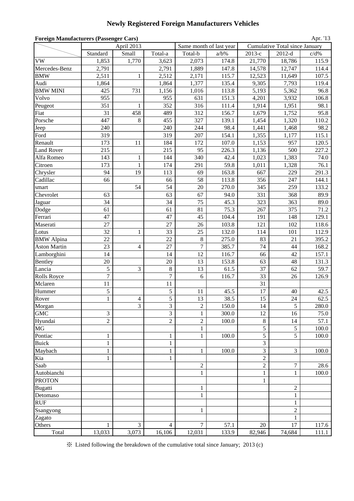### **Newly Registered Foreign Manufacturers Vehicles**

| <b>Foreign Manufacturers (Passenger Cars)</b><br>Apr. '13 |                |                |                |                  |                         |                |                                       |         |  |  |  |
|-----------------------------------------------------------|----------------|----------------|----------------|------------------|-------------------------|----------------|---------------------------------------|---------|--|--|--|
|                                                           |                | April 2013     |                |                  | Same month of last year |                | <b>Cumulative Total since January</b> |         |  |  |  |
|                                                           | Standard       | Small          | Total-a        | Total-b          | $a/b\%$                 | $2013-c$       | $2012-d$                              | $c/d\%$ |  |  |  |
| <b>VW</b>                                                 | 1,853          | 1,770          | 3,623          | 2,073            | 174.8                   | 21,770         | 18,786                                | 115.9   |  |  |  |
| Mercedes-Benz                                             | 2,791          |                | 2,791          | 1,889            | 147.8                   | 14,578         | 12,747                                | 114.4   |  |  |  |
| <b>BMW</b>                                                | 2,511          | 1              | 2,512          | 2,171            | 115.7                   | 12,523         | 11,649                                | 107.5   |  |  |  |
| Audi                                                      | 1,864          |                | 1,864          | 1,377            | 135.4                   | 9,305          | 7,793                                 | 119.4   |  |  |  |
| <b>BMW MINI</b>                                           | 425            | 731            | 1,156          | 1,016            | 113.8                   | 5,193          | 5,362                                 | 96.8    |  |  |  |
| Volvo                                                     | 955            |                | 955            | 631              | 151.3                   | 4,201          | 3,932                                 | 106.8   |  |  |  |
| Peugeot                                                   | 351            | $\mathbf{1}$   | 352            | 316              | 111.4                   | 1,914          | 1,951                                 | 98.1    |  |  |  |
| Fiat                                                      | 31             | 458            | 489            | 312              | 156.7                   | 1,679          | 1,752                                 | 95.8    |  |  |  |
| Porsche                                                   | 447            | 8              | 455            | 327              | 139.1                   | 1,454          | 1,320                                 | 110.2   |  |  |  |
| Jeep                                                      | 240            |                | 240            | 244              | 98.4                    | 1,441          | 1,468                                 | 98.2    |  |  |  |
| Ford                                                      | 319            |                | 319            | 207              | 154.1                   | 1,355          | 1,177                                 | 115.1   |  |  |  |
| Renault                                                   | 173            | 11             | 184            | 172              | 107.0                   | 1,153          | 957                                   | 120.5   |  |  |  |
| <b>Land Rover</b>                                         | 215            |                | 215            | 95               | 226.3                   | 1,136          | 500                                   | 227.2   |  |  |  |
| Alfa Romeo                                                | 143            | $\mathbf{1}$   | 144            | 340              | 42.4                    | 1,023          | 1,383                                 | 74.0    |  |  |  |
| Citroen                                                   | 173            | $\mathbf{1}$   | 174            | 291              | 59.8                    | 1,011          | 1,328                                 | 76.1    |  |  |  |
| Chrysler                                                  | 94             | 19             | 113            | 69               | 163.8                   | 667            | 229                                   | 291.3   |  |  |  |
| Cadillac                                                  | 66             |                | 66             | 58               | 113.8                   | 356            | 247                                   | 144.1   |  |  |  |
| smart                                                     |                | 54             | 54             | 20               | 270.0                   | 345            | 259                                   | 133.2   |  |  |  |
| Chevrolet                                                 | 63             |                | 63             | 67               | 94.0                    | 331            | 368                                   | 89.9    |  |  |  |
| Jaguar                                                    | 34             |                | 34             | 75               | 45.3                    | 323            | 363                                   | 89.0    |  |  |  |
| Dodge                                                     | 61             |                | 61             | 81               | 75.3                    | 267            | 375                                   | 71.2    |  |  |  |
| Ferrari                                                   | 47             |                | 47             | 45               | 104.4                   | 191            | 148                                   | 129.1   |  |  |  |
| Maserati                                                  | 27             |                | 27             | 26               | 103.8                   | 121            | 102                                   | 118.6   |  |  |  |
| Lotus                                                     | 32             | $\mathbf{1}$   | 33             | 25               | 132.0                   | 114            | 101                                   | 112.9   |  |  |  |
| <b>BMW</b> Alpina                                         | 22             |                | 22             | 8                | 275.0                   | 83             | 21                                    | 395.2   |  |  |  |
| <b>Aston Martin</b>                                       | 23             | $\overline{4}$ | 27             | $\boldsymbol{7}$ | 385.7                   | 74             | 44                                    | 168.2   |  |  |  |
| Lamborghini                                               | 14             |                | 14             | 12               | 116.7                   | 66             | 42                                    | 157.1   |  |  |  |
| Bentley                                                   | 20             |                | 20             | 13               | 153.8                   | 63             | 48                                    | 131.3   |  |  |  |
| Lancia                                                    | 5              | 3              | $\,8\,$        | 13               | 61.5                    | 37             | 62                                    | 59.7    |  |  |  |
| Rolls Royce                                               | $\overline{7}$ |                | $\overline{7}$ | 6                | 116.7                   | 33             | 26                                    | 126.9   |  |  |  |
| Mclaren                                                   | 11             |                | 11             |                  |                         | 31             |                                       |         |  |  |  |
| Hummer                                                    | 5              |                | 5              | 11               | 45.5                    | 17             | 40                                    | 42.5    |  |  |  |
| Rover                                                     | $\mathbf{1}$   | $\overline{4}$ | 5              | 13               | 38.5                    | 15             | 24                                    | 62.5    |  |  |  |
| Morgan                                                    |                | 3              | 3              | $\boldsymbol{2}$ | 150.0                   | 14             | 5                                     | 280.0   |  |  |  |
| <b>GMC</b>                                                | 3              |                | 3              | $\mathbf{1}$     | 300.0                   | 12             | 16                                    | 75.0    |  |  |  |
| Hyundai                                                   | $\overline{2}$ |                | $\overline{c}$ | $\overline{c}$   | 100.0                   | $\,8\,$        | 14                                    | 57.1    |  |  |  |
| $\rm MG$                                                  |                |                |                | $\mathbf{1}$     |                         | 5              | $\sqrt{5}$                            | 100.0   |  |  |  |
| Pontiac                                                   | $\,1$          |                | $\mathbf{1}$   | $\mathbf{1}$     | 100.0                   | 5              | 5                                     | 100.0   |  |  |  |
| <b>Buick</b>                                              | $\mathbf{1}$   |                | $\mathbf{1}$   |                  |                         | 3              |                                       |         |  |  |  |
| Maybach                                                   | $\,1$          |                | $\,1$          | $\mathbf{1}$     | 100.0                   | 3              | 3                                     | 100.0   |  |  |  |
| Kia                                                       | 1              |                | 1              |                  |                         | $\sqrt{2}$     |                                       |         |  |  |  |
| Saab                                                      |                |                |                | $\mathbf{2}$     |                         | $\overline{c}$ | $\tau$                                | 28.6    |  |  |  |
| Autobianchi                                               |                |                |                | $\mathbf{1}$     |                         | $\mathbf{1}$   | $\mathbf{1}$                          | 100.0   |  |  |  |
| <b>PROTON</b>                                             |                |                |                |                  |                         | $\mathbf{1}$   |                                       |         |  |  |  |
| Bugatti                                                   |                |                |                | $\mathbf{1}$     |                         |                | $\overline{2}$                        |         |  |  |  |
| Detomaso                                                  |                |                |                | $\mathbf{1}$     |                         |                | $\mathbf{1}$                          |         |  |  |  |
| <b>RUF</b>                                                |                |                |                |                  |                         |                | $\mathbf{1}$                          |         |  |  |  |
| Ssangyong                                                 |                |                |                | $\mathbf{1}$     |                         |                | $\overline{c}$                        |         |  |  |  |
| Zagato                                                    |                |                |                |                  |                         |                | $\mathbf{1}$                          |         |  |  |  |
| Others                                                    | 1              | 3              | 4              | 7                | 57.1                    | 20             | 17                                    | 117.6   |  |  |  |
| Total                                                     | 13,033         | 3,073          | 16,106         | 12,031           | 133.9                   | 82,946         | 74,684                                | 111.1   |  |  |  |

※ Listed following the breakdown of the cumulative total since January; 2013 (c)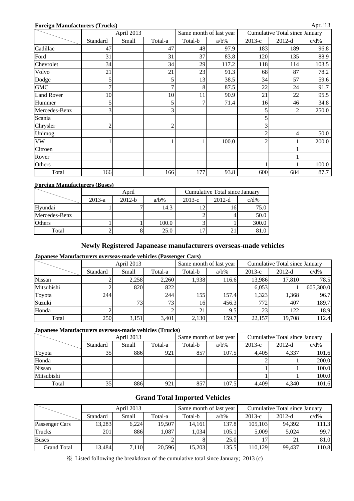#### **Foreign Manufacturers (Trucks)**

|                   |          | April 2013 |                |         | Same month of last year |                | Cumulative Total since January |         |
|-------------------|----------|------------|----------------|---------|-------------------------|----------------|--------------------------------|---------|
|                   | Standard | Small      | Total-a        | Total-b | $a/b\%$                 | $2013-c$       | $2012-d$                       | $c/d\%$ |
| Cadillac          | 47       |            | 47             | 48      | 97.9                    | 183            | 189                            | 96.8    |
| Ford              | 31       |            | 31             | 37      | 83.8                    | 120            | 135                            | 88.9    |
| Chevrolet         | 34       |            | 34             | 29      | 117.2                   | 118            | 114                            | 103.5   |
| Volvo             | 21       |            | 21             | 23      | 91.3                    | 68             | 87                             | 78.2    |
| Dodge             |          |            | 5              | 13      | 38.5                    | 34             | 57                             | 59.6    |
| <b>GMC</b>        |          |            |                | 8       | 87.5                    | 22             | 24                             | 91.7    |
| <b>Land Rover</b> | 10       |            | 10             | 11      | 90.9                    | 21             | 22                             | 95.5    |
| Hummer            |          |            | 5              | 7       | 71.4                    | 16             | 46                             | 34.8    |
| Mercedes-Benz     | ⌒        |            | 3              |         |                         | 5              | 2                              | 250.0   |
| Scania            |          |            |                |         |                         | 5              |                                |         |
| Chrysler          | ◠        |            | $\overline{2}$ |         |                         | 3              |                                |         |
| Unimog            |          |            |                |         |                         | $\overline{c}$ | 4                              | 50.0    |
| <b>VW</b>         |          |            |                |         | 100.0                   | $\overline{2}$ |                                | 200.0   |
| Citroen           |          |            |                |         |                         |                |                                |         |
| Rover             |          |            |                |         |                         |                |                                |         |
| Others            |          |            |                |         |                         |                |                                | 100.0   |
| Total             | 166      |            | 166            | 177     | 93.8                    | 600            | 684                            | 87.7    |

#### **Foreign Manufacturers (Buses)**

|               |          | April    |         | Cumulative Total since January |          |         |  |  |
|---------------|----------|----------|---------|--------------------------------|----------|---------|--|--|
|               | $2013-a$ | $2012-b$ | $a/b\%$ | $2013-c$                       | $2012-d$ | $c/d\%$ |  |  |
| Hyundai       |          |          | 14.3    |                                |          | 75.0    |  |  |
| Mercedes-Benz |          |          |         |                                |          | 50.0    |  |  |
| <b>Others</b> |          |          | 100.0   |                                |          | 300.0   |  |  |
| Total         |          |          | 25.0    |                                |          | 81.0    |  |  |

#### **Newly Registered Japanease manufacturers overseas-made vehicles**

#### **Japanese Manufacturers overseas-made vehicles (Passenger Cars)**

|               |          | April 2013       |       |         | Same month of last year | Cumulative Total since January |                  |           |  |
|---------------|----------|------------------|-------|---------|-------------------------|--------------------------------|------------------|-----------|--|
|               | Standard | Total-a<br>Small |       | Total-b | $a/b\%$                 | $2013-c$                       | $2012-d$         |           |  |
| <b>Nissan</b> |          | 2,258            | 2.260 | 1,938   | 116.6                   | 13,986                         | 17,810           | 78.5      |  |
| Mitsubishi    |          | 820              | 822   |         |                         | 6.053                          |                  | 605,300.0 |  |
| Toyota        | 244      |                  | 244   | 155     | 157.4                   | 1,323                          | 1,368            | 96.7      |  |
| Suzuki        |          | 73               | 73.   | 16      | 456.3                   | 772                            | 407              | 189.7     |  |
| Honda         |          |                  |       | 21      | 9.5                     | 23                             | 122 <sub>1</sub> | 18.9      |  |
| Total         | 250      | 3,151            | 3,401 | 2,130   | 159.7                   | 22,157                         | 19,708           | 112.4     |  |

#### **Japanese Manufacturers overseas-made vehicles (Trucks)**

|               |          | April 2013 |         |         | Same month of last year | Cumulative Total since January |          |         |  |
|---------------|----------|------------|---------|---------|-------------------------|--------------------------------|----------|---------|--|
|               | Standard | Small      | Total-a | Total-b | $a/b\%$                 | $2013-c$                       | $2012-d$ | $c/d\%$ |  |
| Toyota        | 35       | 886        | 921     | 857     | 107.5                   | 4.405                          | 4,337    | 101.6   |  |
| Honda         |          |            |         |         |                         |                                |          | 200.0   |  |
| <b>Nissan</b> |          |            |         |         |                         |                                |          | 100.0   |  |
| Mitsubishi    |          |            |         |         |                         |                                |          | 100.0   |  |
| Total         | 35       | 886        | 921     | 857     | 107.5                   | 4,409                          | 4,340    | 101.6   |  |

### **Grand Total Imported Vehicles**

|                |          | April 2013 |         |         | Same month of last year | Cumulative Total since January |          |         |  |
|----------------|----------|------------|---------|---------|-------------------------|--------------------------------|----------|---------|--|
|                | Standard | Small      | Total-a | Total-b | $a/b\%$                 | $2013-c$                       | $2012-d$ | $c/d\%$ |  |
| Passenger Cars | 13,283   | 6.224      | 19.507  | 14.161  | 137.8                   | 105,103                        | 94,392   | 111.3   |  |
| <b>Trucks</b>  | 201      | 886        | .087    | 1,034   | 105.1                   | 5.009                          | 5.024    | 99.7    |  |
| <b>Buses</b>   |          |            |         |         | 25.0                    |                                |          | 81.0    |  |
| Grand Total    | 13,484   | 7,110      | 20,596  | 15,203  | 135.5                   | 110,129                        | 99,437   | 110.8   |  |

※ Listed following the breakdown of the cumulative total since January; 2013 (c)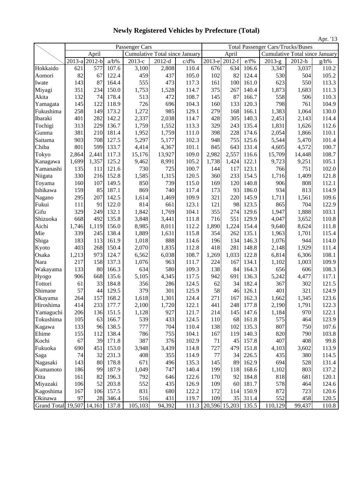|                    |        |          |         |                |                                       |         |        |               |       |          |                                          | Apr. '13 |  |
|--------------------|--------|----------|---------|----------------|---------------------------------------|---------|--------|---------------|-------|----------|------------------------------------------|----------|--|
|                    |        |          |         | Passenger Cars |                                       |         |        |               |       |          | <b>Total Passenger Cars/Trucks/Buses</b> |          |  |
|                    |        | April    |         |                | <b>Cumulative Total since January</b> |         |        | April         |       |          | Cumulative Total since January           |          |  |
|                    | 2013-a | $2012-b$ | $a/b\%$ | 2013-е         | $2012-d$                              | $c/d\%$ | 2013-е | $2012-f$      | e/f%  | $2013-g$ | 2012-h                                   | $g/h\%$  |  |
| Hokkaido           | 621    | 577      | 107.6   | 3,100          | 2,808                                 | 110.4   | 676    | 634           | 106.6 | 3,347    | 3,037                                    | 110.2    |  |
| Aomori             | 82     | 67       | 122.4   | 459            | 437                                   | 105.0   | 102    | 82            | 124.4 | 530      | 504                                      | 105.2    |  |
| Iwate              | 143    | 87       | 164.4   | 555            | 473                                   | 117.3   | 161    | 100           | 161.0 | 623      | 550                                      | 113.3    |  |
| Miyagi             | 351    | 234      | 150.0   | 1,753          | 1,528                                 | 114.7   | 375    | 267           | 140.4 | 1,873    | 1,683                                    | 111.3    |  |
| Akita              | 132    | 74       | 178.4   | 513            | 472                                   | 108.7   | 145    | 87            | 166.7 | 558      | 506                                      | 110.3    |  |
| Yamagata           | 145    | 122      | 118.9   | 726            | 696                                   | 104.3   | 160    | 133           | 120.3 | 798      | 761                                      | 104.9    |  |
| Fukushima          | 258    | 149      | 173.2   | 1,272          | 985                                   | 129.1   | 279    | 168           | 166.1 | 1,383    | 1,064                                    | 130.0    |  |
| Ibaraki            | 401    | 282      | 142.2   | 2,337          | 2,038                                 | 114.7   | 428    | 305           | 140.3 | 2,451    | 2,143                                    | 114.4    |  |
| Tochigi            | 313    | 229      | 136.7   | 1,759          | 1,552                                 | 113.3   | 329    | 243           | 135.4 | 1,831    | 1,626                                    | 112.6    |  |
| Gunma              | 381    | 210      | 181.4   | 1,952          | 1,759                                 | 111.0   | 398    | 228           | 174.6 | 2,054    | 1,866                                    | 110.1    |  |
| Saitama            | 903    | 708      | 127.5   | 5,297          | 5,177                                 | 102.3   | 948    | 755           | 125.6 | 5,544    | 5,470                                    | 101.4    |  |
| Chiba              | 801    | 599      | 133.7   | 4,414          | 4,367                                 | 101.1   | 845    | 643           | 131.4 | 4,605    | 4,572                                    | 100.7    |  |
| Tokyo              | 2,864  | 2,441    | 117.3   | 15,176         | 13,927                                | 109.0   | 2,982  | 2,557         | 116.6 | 15,709   | 14,448                                   | 108.7    |  |
| Kanagawa           | 1,699  | 1,357    | 125.2   | 9,462          | 8,991                                 | 105.2   | 1,738  | 1,424         | 122.1 | 9,723    | 9,251                                    | 105.1    |  |
| Yamanashi          | 135    | 111      | 121.6   | 730            | 725                                   | 100.7   | 144    | 117           | 123.1 | 766      | 751                                      | 102.0    |  |
| Niigata            | 330    | 216      | 152.8   | 1,585          | 1,315                                 | 120.5   | 360    | 233           | 154.5 | 1,716    | 1,409                                    | 121.8    |  |
| Toyama             | 160    | 107      | 149.5   | 850            | 739                                   | 115.0   | 169    | 120           | 140.8 | 906      | 808                                      | 112.1    |  |
| Ishikawa           | 159    | 85       | 187.1   | 869            | 740                                   | 117.4   | 173    | 93            | 186.0 | 934      | 813                                      | 114.9    |  |
| Nagano             | 295    | 207      | 142.5   | 1,614          | 1,469                                 | 109.9   | 321    | 220           | 145.9 | 1,711    | 1,561                                    | 109.6    |  |
| Fukui              | 111    | 91       | 122.0   | 814            | 661                                   | 123.1   | 121    | 98            | 123.5 | 865      | 704                                      | 122.9    |  |
| Gifu               | 329    | 249      | 132.1   | 1,842          | 1,769                                 | 104.1   | 355    | 274           | 129.6 | 1,947    | 1,888                                    | 103.1    |  |
| Shizuoka           | 668    | 492      | 135.8   | 3,848          | 3,441                                 | 111.8   | 716    | 551           | 129.9 | 4,047    | 3,652                                    | 110.8    |  |
| Aichi              | 1,746  | 1,119    | 156.0   | 8,985          | 8,011                                 | 112.2   | 1,890  | 1,224         | 154.4 | 9,640    | 8,624                                    | 111.8    |  |
| Mie                | 339    | 245      | 138.4   | 1,889          | 1,631                                 | 115.8   | 354    | 262           | 135.1 | 1,963    | 1,701                                    | 115.4    |  |
| Shiga              | 183    | 113      | 161.9   | 1,018          | 888                                   | 114.6   | 196    | 134           | 146.3 | 1,076    | 944                                      | 114.0    |  |
| Kyoto              | 403    | 268      | 150.4   | 2,070          | 1,835                                 | 112.8   | 418    | 281           | 148.8 | 2,148    | 1,929                                    | 111.4    |  |
| Osaka              | 1,213  | 973      | 124.7   | 6,562          | 6,038                                 | 108.7   | 1,269  | 1,033         | 122.8 | 6,814    | 6,306                                    | 108.1    |  |
| Nara               | 217    | 158      | 137.3   | 1,076          | 963                                   | 111.7   | 224    | 167           | 134.1 | 1,102    | 1,003                                    | 109.9    |  |
| Wakayama           | 133    | 80       | 166.3   | 634            | 580                                   | 109.3   | 138    | 84            | 164.3 | 656      | 606                                      | 108.3    |  |
| Hyogo              | 906    | 668      | 135.6   | 5,105          | 4,345                                 | 117.5   | 942    | 691           | 136.3 | 5,242    | 4,477                                    | 117.1    |  |
| Tottori            | 61     | 33       | 184.8   | 356            | 286                                   | 124.5   | 62     | 34            | 182.4 | 367      | 302                                      | 121.5    |  |
| Shimane            | 57     | 44       | 129.5   | 379            | 301                                   | 125.9   | 58     | 46            | 126.1 | 401      | 321                                      | 124.9    |  |
| Okayama            | 264    | 157      | 168.2   | 1,618          | 1,301                                 | 124.4   | 271    | 167           | 162.3 | 1,662    | 1,345                                    | 123.6    |  |
| Hiroshima          | 414    | 233      | 177.7   | 2,100          | 1,720                                 | 122.1   | 441    | 248           | 177.8 | 2,190    | 1,791                                    | 122.3    |  |
| Yamaguchi          | 206    | 136      | 151.5   | 1,128          | 927                                   | 121.7   | 214    | 145           | 147.6 | 1,184    | 970                                      | 122.1    |  |
| Tokushima          | 105    | 63       | 166.7   | 539            | 433                                   | 124.5   | 110    | 68            | 161.8 | 575      | 464                                      | 123.9    |  |
| Kagawa             | 133    | 96       | 138.5   | 777            | 704                                   | 110.4   | 138    | 102           | 135.3 | 807      | 750                                      | 107.6    |  |
| Ehime              | 155    | 112      | 138.4   | 786            | 755                                   | 104.1   | 167    | 119           | 140.3 | 820      | 790                                      | 103.8    |  |
| Kochi              | 67     | 39       | 171.8   | 387            | 376                                   | 102.9   | 71     | 45            | 157.8 | 407      | 408                                      | 99.8     |  |
| Fukuoka            | 690    | 451      | 153.0   | 3,948          | 3,439                                 | 114.8   | 727    | 479           | 151.8 | 4,103    | 3,602                                    | 113.9    |  |
| Saga               | 74     | 32       | 231.3   | 408            | 355                                   | 114.9   | 77     | 34            | 226.5 | 435      | 380                                      | 114.5    |  |
| Nagasaki           | 143    | 80       | 178.8   | 671            | 496                                   | 135.3   | 145    | 89            | 162.9 | 694      | 528                                      | 131.4    |  |
| Kumamoto           | 186    | 99       | 187.9   | 1,049          | 747                                   | 140.4   | 199    | 118           | 168.6 | 1,102    | 803                                      | 137.2    |  |
| Oita               | 161    | 82       | 196.3   | 792            | 646                                   | 122.6   | 170    | 92            | 184.8 | 818      | 681                                      | 120.1    |  |
| Miyazaki           | 106    | 52       | 203.8   | 552            | 435                                   | 126.9   | 109    | 60            | 181.7 | 578      | 464                                      | 124.6    |  |
| Kagoshima          | 167    | 106      | 157.5   | 831            | 680                                   | 122.2   | 172    | 114           | 150.9 | 872      | 723                                      | 120.6    |  |
| Okinawa            | 97     | 28       | 346.4   | 516            | 431                                   | 119.7   | 109    | 35            | 311.4 | 552      | 458                                      | 120.5    |  |
| Grand Total 19,507 |        | 14,161   | 137.8   | 105,103        | 94,392                                | 111.3   |        | 20,596 15,203 | 135.5 | 110,129  | 99,437                                   | 110.8    |  |

**Newly Registered Vehicles by Prefecture (Total)**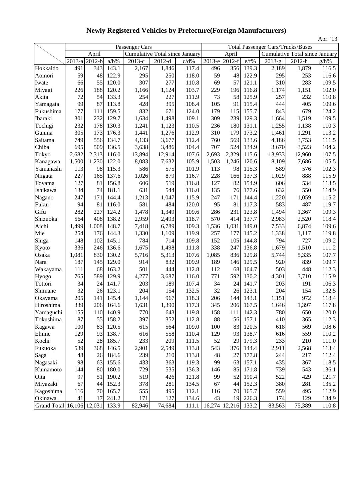|                           |               |       |         |                                |          |       |                                 |               |           |                                          |                                       | Apr. '13 |
|---------------------------|---------------|-------|---------|--------------------------------|----------|-------|---------------------------------|---------------|-----------|------------------------------------------|---------------------------------------|----------|
|                           |               |       |         | Passenger Cars                 |          |       |                                 |               |           | <b>Total Passenger Cars/Trucks/Buses</b> |                                       |          |
|                           |               | April |         | Cumulative Total since January |          |       |                                 | April         |           |                                          | <b>Cumulative Total since January</b> |          |
|                           | 2013-a 2012-b |       | $a/b\%$ | 2013-е                         | $2012-d$ | c/d%  |                                 | 2013-e 2012-f | e/f%      | $2013-g$                                 | 2012-h                                | g/h%     |
| Hokkaido                  | 491           | 343   | 143.1   | 2,167                          | 1,846    | 117.4 | 496                             | 356           | 139.3     | 2,189                                    | 1,879                                 | 116.5    |
| Aomori                    | 59            | 48    | 122.9   | 295                            | 250      | 118.0 | 59                              | 48            | 122.9     | 295                                      | 253                                   | 116.6    |
| Iwate                     | 66            | 55    | 120.0   | 307                            | 277      | 110.8 | 69                              | 57            | 121.1     | 310                                      | 283                                   | 109.5    |
| Miyagi                    | 226           | 188   | 120.2   | 1,166                          | 1,124    | 103.7 | 229                             | 196           | 116.8     | 1,174                                    | 1,151                                 | 102.0    |
| Akita                     | 72            | 54    | 133.3   | 254                            | 227      | 111.9 | 73                              | 58            | 125.9     | 257                                      | 232                                   | 110.8    |
| Yamagata                  | 99            | 87    | 113.8   | 428                            | 395      | 108.4 | 105                             | 91            | 115.4     | 444                                      | 405                                   | 109.6    |
| Fukushima                 | 177           | 111   | 159.5   | 832                            | 671      | 124.0 | 179                             | 115           | 155.7     | 843                                      | 679                                   | 124.2    |
| Ibaraki                   | 301           | 232   | 129.7   | 1,634                          | 1,498    | 109.1 | 309                             | 239           | 129.3     | 1,664                                    | 1,519                                 | 109.5    |
| Tochigi                   | 232           | 178   | 130.3   | 1,241                          | 1,123    | 110.5 | 236                             | 180           | 131.1     | 1,255                                    | 1,138                                 | 110.3    |
| Gunma                     | 305           | 173   | 176.3   | 1,441                          | 1,276    | 112.9 | 310                             | 179           | 173.2     | 1,461                                    | 1,291                                 | 113.2    |
| Saitama                   | 749           | 556   | 134.7   | 4,133                          | 3,677    | 112.4 | 760                             | 569           | 133.6     | 4,186                                    | 3,753                                 | 111.5    |
| Chiba                     | 695           | 509   | 136.5   | 3,638                          | 3,486    | 104.4 | 707                             | 524           | 134.9     | 3,670                                    | 3,523                                 | 104.2    |
| Tokyo                     | 2,682         | 2,313 | 116.0   | 13,894                         | 12,914   | 107.6 | 2,693                           | 2,329         | 115.6     | 13,933                                   | 12,960                                | 107.5    |
| Kanagawa                  | 1,500         | 1,230 | 122.0   | 8,083                          | 7,632    | 105.9 | 1,503                           | 1,246         | 120.6     | 8,109                                    | 7,686                                 | 105.5    |
| Yamanashi                 | 113           | 98    | 115.3   | 586                            | 575      | 101.9 | 113                             | 98            | 115.3     | 589                                      | 576                                   | 102.3    |
| Niigata                   | 227           | 165   | 137.6   | 1,026                          | 879      | 116.7 | 228                             | 166           | 137.3     | 1,029                                    | 888                                   | 115.9    |
| Toyama                    | 127           | 81    | 156.8   | 606                            | 519      | 116.8 | 127                             | 82            | 154.9     | 606                                      | 534                                   | 113.5    |
| Ishikawa                  | 134           | 74    | 181.1   | 631                            | 544      | 116.0 | 135                             | 76            | 177.6     | 632                                      | 550                                   | 114.9    |
| Nagano                    | 247           | 171   | 144.4   | 1,213                          | 1,047    | 115.9 | 247                             | 171           | 144.4     | 1,220                                    | 1,059                                 | 115.2    |
| Fukui                     | 94            | 81    | 116.0   | 581                            | 484      | 120.0 | 95                              | 81            | 117.3     | 583                                      | 487                                   | 119.7    |
| Gifu                      | 282           | 227   | 124.2   | 1,478                          | 1,349    | 109.6 | 286                             | 231           | 123.8     | 1,494                                    | 1,367                                 | 109.3    |
| Shizuoka                  | 564           | 408   | 138.2   | 2,959                          | 2,493    | 118.7 | 570                             | 414           | 137.7     | 2,983                                    | 2,520                                 | 118.4    |
| Aichi                     | 1,499         | 1,008 | 148.7   | 7,418                          | 6,789    | 109.3 | 1,536                           | 1,031         | 149.0     | 7,533                                    | 6,874                                 | 109.6    |
| Mie                       | 254           | 176   | 144.3   | 1,330                          | 1,109    | 119.9 | 257                             | 177           | 145.2     | 1,338                                    | 1,117                                 | 119.8    |
| Shiga                     | 148           | 102   | 145.1   | 784                            | 714      | 109.8 | 152                             | 105           | 144.8     | 794                                      | 727                                   | 109.2    |
| Kyoto                     | 336           | 246   | 136.6   | 1,675                          | 1,498    | 111.8 | 338                             | 247           | 136.8     | 1,679                                    | 1,510                                 | 111.2    |
| Osaka                     | 1,081         | 830   | 130.2   | 5,716                          | 5,313    | 107.6 | 1,085                           | 836           | 129.8     | 5,744                                    | 5,335                                 | 107.7    |
| Nara                      | 187           | 145   | 129.0   | 914                            | 832      | 109.9 | 189                             | 146           | 129.5     | 920                                      | 839                                   | 109.7    |
| Wakayama                  | 111           | 68    | 163.2   | 501                            | 444      | 112.8 | 112                             | 68            | 164.7     | 503                                      | 448                                   | 112.3    |
| Hyogo                     | 765           | 589   | 129.9   | 4,277                          | 3,687    | 116.0 | 771                             | 592           | 130.2     | 4,301                                    | 3,710                                 | 115.9    |
| Tottori                   | 34            | 24    | 141.7   | 203                            | 189      | 107.4 | 34                              | 24            | 141.7     | 203                                      | 191                                   | 106.3    |
| Shimane                   | 32            | 26    | 123.1   | 204                            | 154      | 132.5 | 32                              | 26            | 123.1     | 204                                      | 154                                   | 132.5    |
| Okayama                   | 205           | 141   | 145.4   | 1,144                          | 967      | 118.3 | 206                             | 144           | 143.1     | 1,151                                    | 972                                   | 118.4    |
| Hiroshima                 | 339           | 206   | 164.6   | 1,631                          | 1,390    | 117.3 | 345                             |               | 206 167.5 | 1,646                                    | 1,397                                 | 117.8    |
| Yamaguchi                 | 155           | 110   | 140.9   | 770                            | 643      | 119.8 | 158                             | 111           | 142.3     | 780                                      | 650                                   | 120.0    |
| Tokushima                 | 87            | 55    | 158.2   | 397                            | 352      | 112.8 | 88                              | 56            | 157.1     | 410                                      | 365                                   | 112.3    |
| Kagawa                    | 100           | 83    | 120.5   | 615                            | 564      | 109.0 | 100                             | 83            | 120.5     | 618                                      | 569                                   | 108.6    |
| Ehime                     | 129           | 93    | 138.7   | 616                            | 558      | 110.4 | 129                             | 93            | 138.7     | 616                                      | 559                                   | 110.2    |
| Kochi                     | 52            | 28    | 185.7   | 233                            | 209      | 111.5 | 52                              | 29            | 179.3     | 233                                      | 210                                   | 111.0    |
| Fukuoka                   | 539           | 368   | 146.5   | 2,901                          | 2,549    | 113.8 | 543                             | 376           | 144.4     | 2,911                                    | 2,568                                 | 113.4    |
| Saga                      | 48            | 26    | 184.6   | 239                            | 210      | 113.8 | 48                              | 27            | 177.8     | 244                                      | 217                                   | 112.4    |
| Nagasaki                  | 98            | 63    | 155.6   | 433                            | 363      | 119.3 | 99                              | 63            | 157.1     | 435                                      | 367                                   | 118.5    |
| Kumamoto                  | 144           | 80    | 180.0   | 729                            | 535      | 136.3 | 146                             | 85            | 171.8     | 739                                      | 543                                   | 136.1    |
| Oita                      | 97            | 51    | 190.2   | 519                            | 426      | 121.8 | 99                              | 52            | 190.4     | 522                                      | 429                                   | 121.7    |
| Miyazaki                  | 67            | 44    | 152.3   | 378                            | 281      | 134.5 | 67                              | 44            | 152.3     | 380                                      | 281                                   | 135.2    |
| Kagoshima                 | 116           | 70    | 165.7   | 555                            | 495      | 112.1 | 116                             | 70            | 165.7     | 559                                      | 495                                   | 112.9    |
| Okinawa                   | 41            | 17    | 241.2   | 171                            | 127      | 134.6 | 43                              | 19            | 226.3     | 174                                      | 129                                   | 134.9    |
| Grand Total 16,106 12,031 |               |       | 133.9   | 82,946                         | 74,684   |       | 111.1   16,274   12,216   133.2 |               |           | 83,563                                   | 75,389                                | 110.8    |

**Newly Registered Vehicles by Prefecture(Foreign Manufacturers)**